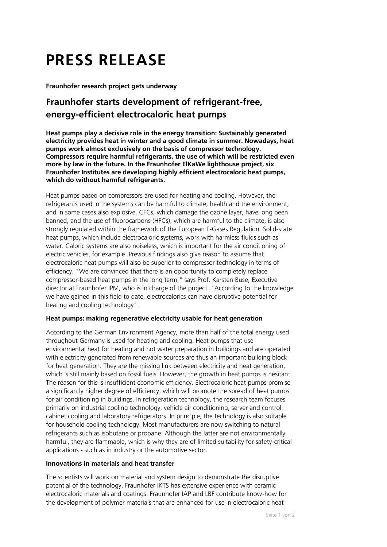# **PRESS RELEASE**

**Fraunhofer research project gets underway**

# **Fraunhofer starts development of refrigerant-free, energy-efficient electrocaloric heat pumps**

**Heat pumps play a decisive role in the energy transition: Sustainably generated electricity provides heat in winter and a good climate in summer. Nowadays, heat pumps work almost exclusively on the basis of compressor technology. Compressors require harmful refrigerants, the use of which will be restricted even more by law in the future. In the Fraunhofer ElKaWe lighthouse project, six Fraunhofer Institutes are developing highly efficient electrocaloric heat pumps, which do without harmful refrigerants.**

Heat pumps based on compressors are used for heating and cooling. However, the refrigerants used in the systems can be harmful to climate, health and the environment, and in some cases also explosive. CFCs, which damage the ozone layer, have long been banned, and the use of fluorocarbons (HFCs), which are harmful to the climate, is also strongly regulated within the framework of the European F-Gases Regulation. Solid-state heat pumps, which include electrocaloric systems, work with harmless fluids such as water. Caloric systems are also noiseless, which is important for the air conditioning of electric vehicles, for example. Previous findings also give reason to assume that electrocaloric heat pumps will also be superior to compressor technology in terms of efficiency. "We are convinced that there is an opportunity to completely replace compressor-based heat pumps in the long term," says Prof. Karsten Buse, Executive director at Fraunhofer IPM, who is in charge of the project. "According to the knowledge we have gained in this field to date, electrocalorics can have disruptive potential for heating and cooling technology".

## **Heat pumps: making regenerative electricity usable for heat generation**

According to the German Environment Agency, more than half of the total energy used throughout Germany is used for heating and cooling. Heat pumps that use environmental heat for heating and hot water preparation in buildings and are operated with electricity generated from renewable sources are thus an important building block for heat generation. They are the missing link between electricity and heat generation, which is still mainly based on fossil fuels. However, the growth in heat pumps is hesitant. The reason for this is insufficient economic efficiency. Electrocaloric heat pumps promise a significantly higher degree of efficiency, which will promote the spread of heat pumps for air conditioning in buildings. In refrigeration technology, the research team focuses primarily on industrial cooling technology, vehicle air conditioning, server and control cabinet cooling and laboratory refrigerators. In principle, the technology is also suitable for household cooling technology. Most manufacturers are now switching to natural refrigerants such as isobutane or propane. Although the latter are not environmentally harmful, they are flammable, which is why they are of limited suitability for safety-critical applications - such as in industry or the automotive sector.

### **Innovations in materials and heat transfer**

The scientists will work on material and system design to demonstrate the disruptive potential of the technology. Fraunhofer IKTS has extensive experience with ceramic electrocaloric materials and coatings. Fraunhofer IAP and LBF contribute know-how for the development of polymer materials that are enhanced for use in electrocaloric heat